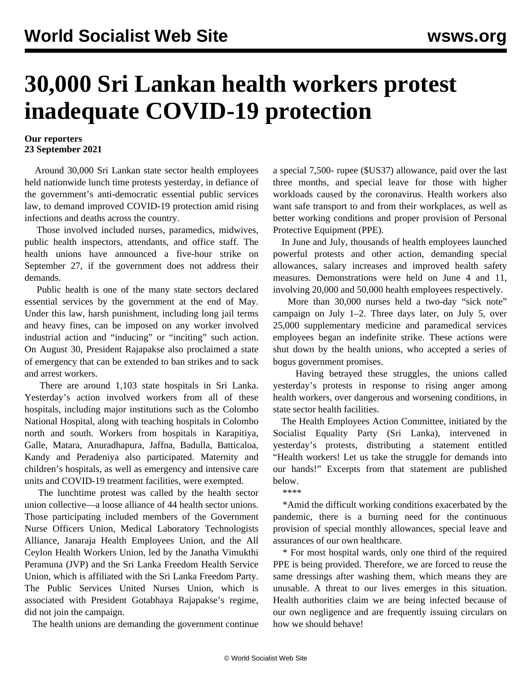## **30,000 Sri Lankan health workers protest inadequate COVID-19 protection**

## **Our reporters 23 September 2021**

 Around 30,000 Sri Lankan state sector health employees held nationwide lunch time protests yesterday, in defiance of the government's anti-democratic essential public services law, to demand improved COVID-19 protection amid rising infections and deaths across the country.

 Those involved included nurses, paramedics, midwives, public health inspectors, attendants, and office staff. The health unions have announced a five-hour strike on September 27, if the government does not address their demands.

 Public health is one of the many state sectors [declared](/en/articles/2021/05/29/sril-m29.html) [essential services](/en/articles/2021/05/29/sril-m29.html) by the government at the end of May. Under this law, harsh punishment, including long jail terms and heavy fines, can be imposed on any worker involved industrial action and "inducing" or "inciting" such action. On August 30, President Rajapakse also proclaimed a [state](/en/articles/2021/09/11/slse-s11.html) [of emergency](/en/articles/2021/09/11/slse-s11.html) that can be extended to ban strikes and to sack and arrest workers.

 There are around 1,103 state hospitals in Sri Lanka. Yesterday's action involved workers from all of these hospitals, including major institutions such as the Colombo National Hospital, along with teaching hospitals in Colombo north and south. Workers from hospitals in Karapitiya, Galle, Matara, Anuradhapura, Jaffna, Badulla, Batticaloa, Kandy and Peradeniya also participated. Maternity and children's hospitals, as well as emergency and intensive care units and COVID-19 treatment facilities, were exempted.

 The lunchtime protest was called by the health sector union collective—a loose alliance of 44 health sector unions. Those participating included members of the Government Nurse Officers Union, Medical Laboratory Technologists Alliance, Janaraja Health Employees Union, and the All Ceylon Health Workers Union, led by the Janatha Vimukthi Peramuna (JVP) and the Sri Lanka Freedom Health Service Union, which is affiliated with the Sri Lanka Freedom Party. The Public Services United Nurses Union, which is associated with President Gotabhaya Rajapakse's regime, did not join the campaign.

The health unions are demanding the government continue

a special 7,500- rupee (\$US37) allowance, paid over the last three months, and special leave for those with higher workloads caused by the coronavirus. Health workers also want safe transport to and from their workplaces, as well as better working conditions and proper provision of Personal Protective Equipment (PPE).

 In June and July, thousands of health employees launched powerful protests and other action, demanding special allowances, salary increases and improved health safety measures. Demonstrations were held on June 4 and 11, involving 20,000 and 50,000 health employees respectively.

 More than 30,000 nurses held a two-day "sick note" campaign on July 1–2. Three days later, on July 5, over 25,000 supplementary medicine and paramedical services employees began an indefinite strike. These actions were shut down by the health unions, who accepted a series of bogus government promises.

 Having [betrayed these struggles](/en/articles/2021/06/19/slhe-j19.html), the unions called yesterday's protests in response to rising anger among health workers, over dangerous and worsening conditions, in state sector health facilities.

 The Health Employees Action Committee, initiated by the Socialist Equality Party (Sri Lanka), intervened in yesterday's protests, distributing a statement entitled "Health workers! Let us take the struggle for demands into our hands!" Excerpts from that statement are published below.

\*\*\*\*

 \*Amid the difficult working conditions exacerbated by the pandemic, there is a burning need for the continuous provision of special monthly allowances, special leave and assurances of our own healthcare.

 \* For most hospital wards, only one third of the required PPE is being provided. Therefore, we are forced to reuse the same dressings after washing them, which means they are unusable. A threat to our lives emerges in this situation. Health authorities claim we are being infected because of our own negligence and are frequently issuing circulars on how we should behave!